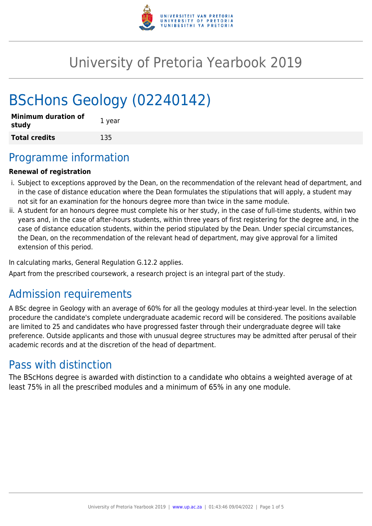

# University of Pretoria Yearbook 2019

# BScHons Geology (02240142)

| <b>Minimum duration of</b><br>study | 1 year |
|-------------------------------------|--------|
| <b>Total credits</b>                | 135    |

# Programme information

### **Renewal of registration**

- i. Subject to exceptions approved by the Dean, on the recommendation of the relevant head of department, and in the case of distance education where the Dean formulates the stipulations that will apply, a student may not sit for an examination for the honours degree more than twice in the same module.
- ii. A student for an honours degree must complete his or her study, in the case of full-time students, within two years and, in the case of after-hours students, within three years of first registering for the degree and, in the case of distance education students, within the period stipulated by the Dean. Under special circumstances, the Dean, on the recommendation of the relevant head of department, may give approval for a limited extension of this period.

In calculating marks, General Regulation G.12.2 applies.

Apart from the prescribed coursework, a research project is an integral part of the study.

# Admission requirements

A BSc degree in Geology with an average of 60% for all the geology modules at third-year level. In the selection procedure the candidate's complete undergraduate academic record will be considered. The positions available are limited to 25 and candidates who have progressed faster through their undergraduate degree will take preference. Outside applicants and those with unusual degree structures may be admitted after perusal of their academic records and at the discretion of the head of department.

# Pass with distinction

The BScHons degree is awarded with distinction to a candidate who obtains a weighted average of at least 75% in all the prescribed modules and a minimum of 65% in any one module.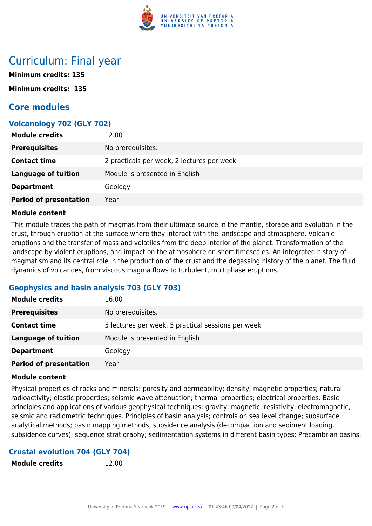

# Curriculum: Final year

**Minimum credits: 135**

**Minimum credits: 135**

# **Core modules**

# **Volcanology 702 (GLY 702)**

| <b>Module credits</b>         | 12.00                                      |
|-------------------------------|--------------------------------------------|
| <b>Prerequisites</b>          | No prerequisites.                          |
| <b>Contact time</b>           | 2 practicals per week, 2 lectures per week |
| <b>Language of tuition</b>    | Module is presented in English             |
| <b>Department</b>             | Geology                                    |
| <b>Period of presentation</b> | Year                                       |

#### **Module content**

This module traces the path of magmas from their ultimate source in the mantle, storage and evolution in the crust, through eruption at the surface where they interact with the landscape and atmosphere. Volcanic eruptions and the transfer of mass and volatiles from the deep interior of the planet. Transformation of the landscape by violent eruptions, and impact on the atmosphere on short timescales. An integrated history of magmatism and its central role in the production of the crust and the degassing history of the planet. The fluid dynamics of volcanoes, from viscous magma flows to turbulent, multiphase eruptions.

# **Geophysics and basin analysis 703 (GLY 703)**

| <b>Module credits</b>         | 16.00                                              |
|-------------------------------|----------------------------------------------------|
| <b>Prerequisites</b>          | No prerequisites.                                  |
| <b>Contact time</b>           | 5 lectures per week, 5 practical sessions per week |
| Language of tuition           | Module is presented in English                     |
| <b>Department</b>             | Geology                                            |
| <b>Period of presentation</b> | Year                                               |

### **Module content**

Physical properties of rocks and minerals: porosity and permeability; density; magnetic properties; natural radioactivity; elastic properties; seismic wave attenuation; thermal properties; electrical properties. Basic principles and applications of various geophysical techniques: gravity, magnetic, resistivity, electromagnetic, seismic and radiometric techniques. Principles of basin analysis; controls on sea level change; subsurface analytical methods; basin mapping methods; subsidence analysis (decompaction and sediment loading, subsidence curves); sequence stratigraphy; sedimentation systems in different basin types; Precambrian basins.

### **Crustal evolution 704 (GLY 704)**

**Module credits** 12.00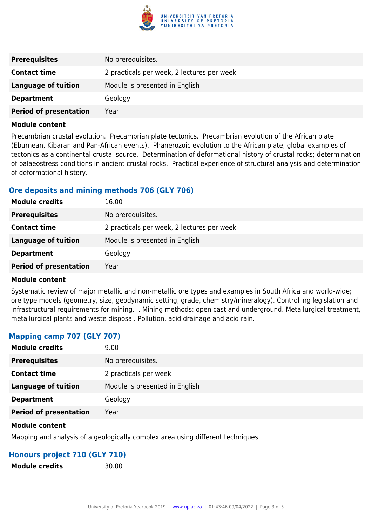

| <b>Prerequisites</b>          | No prerequisites.                          |
|-------------------------------|--------------------------------------------|
| <b>Contact time</b>           | 2 practicals per week, 2 lectures per week |
| <b>Language of tuition</b>    | Module is presented in English             |
| <b>Department</b>             | Geology                                    |
| <b>Period of presentation</b> | Year                                       |

#### **Module content**

Precambrian crustal evolution. Precambrian plate tectonics. Precambrian evolution of the African plate (Eburnean, Kibaran and Pan-African events). Phanerozoic evolution to the African plate; global examples of tectonics as a continental crustal source. Determination of deformational history of crustal rocks; determination of palaeostress conditions in ancient crustal rocks. Practical experience of structural analysis and determination of deformational history.

# **Ore deposits and mining methods 706 (GLY 706)**

| <b>Module credits</b>         | 16.00                                      |
|-------------------------------|--------------------------------------------|
| <b>Prerequisites</b>          | No prerequisites.                          |
| <b>Contact time</b>           | 2 practicals per week, 2 lectures per week |
| Language of tuition           | Module is presented in English             |
| <b>Department</b>             | Geology                                    |
| <b>Period of presentation</b> | Year                                       |

### **Module content**

Systematic review of major metallic and non-metallic ore types and examples in South Africa and world-wide; ore type models (geometry, size, geodynamic setting, grade, chemistry/mineralogy). Controlling legislation and infrastructural requirements for mining. . Mining methods: open cast and underground. Metallurgical treatment, metallurgical plants and waste disposal. Pollution, acid drainage and acid rain.

# **Mapping camp 707 (GLY 707)**

| <b>Module credits</b>         | 9.00                           |
|-------------------------------|--------------------------------|
| <b>Prerequisites</b>          | No prerequisites.              |
| <b>Contact time</b>           | 2 practicals per week          |
| <b>Language of tuition</b>    | Module is presented in English |
| <b>Department</b>             | Geology                        |
| <b>Period of presentation</b> | Year                           |
|                               |                                |

#### **Module content**

Mapping and analysis of a geologically complex area using different techniques.

### **Honours project 710 (GLY 710)**

**Module credits** 30.00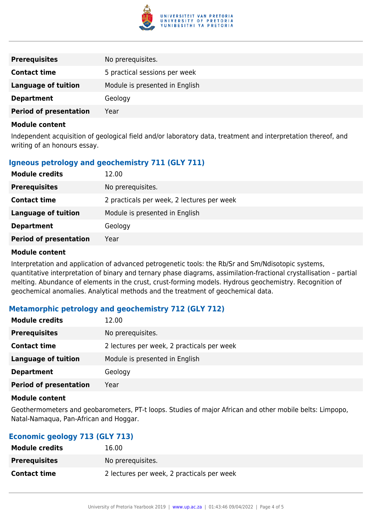

| <b>Prerequisites</b>          | No prerequisites.              |
|-------------------------------|--------------------------------|
| <b>Contact time</b>           | 5 practical sessions per week  |
| <b>Language of tuition</b>    | Module is presented in English |
| <b>Department</b>             | Geology                        |
| <b>Period of presentation</b> | Year                           |

#### **Module content**

Independent acquisition of geological field and/or laboratory data, treatment and interpretation thereof, and writing of an honours essay.

# **Igneous petrology and geochemistry 711 (GLY 711)**

| <b>Module credits</b>         | 12.00                                      |
|-------------------------------|--------------------------------------------|
| <b>Prerequisites</b>          | No prerequisites.                          |
| <b>Contact time</b>           | 2 practicals per week, 2 lectures per week |
| Language of tuition           | Module is presented in English             |
| <b>Department</b>             | Geology                                    |
| <b>Period of presentation</b> | Year                                       |

#### **Module content**

Interpretation and application of advanced petrogenetic tools: the Rb/Sr and Sm/Ndisotopic systems, quantitative interpretation of binary and ternary phase diagrams, assimilation-fractional crystallisation – partial melting. Abundance of elements in the crust, crust-forming models. Hydrous geochemistry. Recognition of geochemical anomalies. Analytical methods and the treatment of geochemical data.

# **Metamorphic petrology and geochemistry 712 (GLY 712)**

| <b>Module credits</b>         | 12.00                                      |
|-------------------------------|--------------------------------------------|
| <b>Prerequisites</b>          | No prerequisites.                          |
| <b>Contact time</b>           | 2 lectures per week, 2 practicals per week |
| <b>Language of tuition</b>    | Module is presented in English             |
| <b>Department</b>             | Geology                                    |
| <b>Period of presentation</b> | Year                                       |

#### **Module content**

Geothermometers and geobarometers, PT-t loops. Studies of major African and other mobile belts: Limpopo, Natal-Namaqua, Pan-African and Hoggar.

# **Economic geology 713 (GLY 713)**

| <b>Module credits</b> | 16.00                                      |
|-----------------------|--------------------------------------------|
| <b>Prerequisites</b>  | No prerequisites.                          |
| <b>Contact time</b>   | 2 lectures per week, 2 practicals per week |